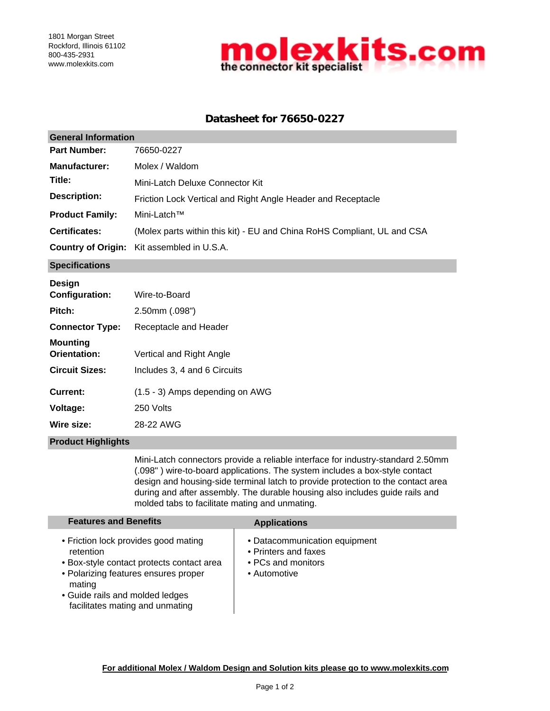

## **Datasheet for 76650-0227**

| <b>General Information</b> |                                                                         |  |  |  |
|----------------------------|-------------------------------------------------------------------------|--|--|--|
| <b>Part Number:</b>        | 76650-0227                                                              |  |  |  |
| <b>Manufacturer:</b>       | Molex / Waldom                                                          |  |  |  |
| Title:                     | Mini-Latch Deluxe Connector Kit                                         |  |  |  |
| <b>Description:</b>        | Friction Lock Vertical and Right Angle Header and Receptacle            |  |  |  |
| <b>Product Family:</b>     | Mini-Latch™                                                             |  |  |  |
| <b>Certificates:</b>       | (Molex parts within this kit) - EU and China RoHS Compliant, UL and CSA |  |  |  |
|                            | <b>Country of Origin:</b> Kit assembled in U.S.A.                       |  |  |  |
| <b>Specifications</b>      |                                                                         |  |  |  |

**Wire size:** 28-22 AWG **Current:** (1.5 - 3) Amps depending on AWG **Voltage:** Includes 3, 4 and 6 Circuits **Pitch: Mounting Orientation: Connector Type:** Receptacle and Header Vertical and Right Angle 250 Volts Wire-to-Board 2.50mm (.098") **Design Configuration: Circuit Sizes:**

## **Product Highlights**

Mini-Latch connectors provide a reliable interface for industry-standard 2.50mm (.098" ) wire-to-board applications. The system includes a box-style contact design and housing-side terminal latch to provide protection to the contact area during and after assembly. The durable housing also includes guide rails and molded tabs to facilitate mating and unmating.

| <b>Features and Benefits</b>                                                                                                                                                                                           | <b>Applications</b>                                                                         |
|------------------------------------------------------------------------------------------------------------------------------------------------------------------------------------------------------------------------|---------------------------------------------------------------------------------------------|
| • Friction lock provides good mating<br>retention<br>• Box-style contact protects contact area<br>• Polarizing features ensures proper<br>mating<br>• Guide rails and molded ledges<br>facilitates mating and unmating | • Datacommunication equipment<br>• Printers and faxes<br>• PCs and monitors<br>• Automotive |